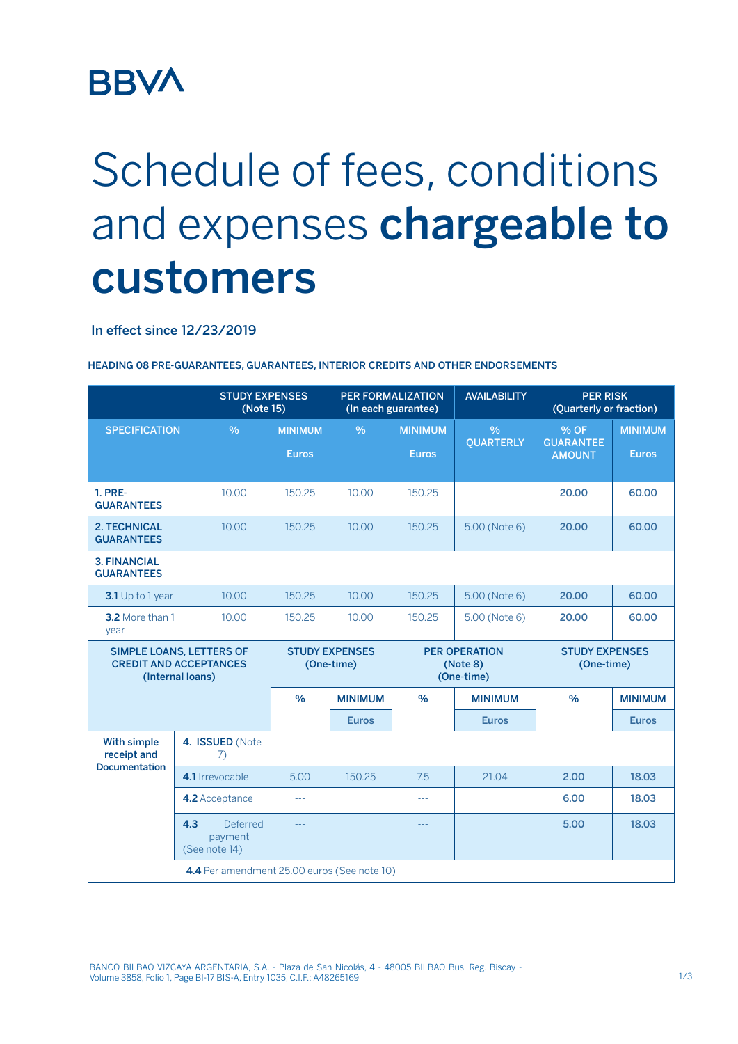## **BBVA**

# Schedule of fees, conditions and expenses chargeable to customers

#### In effect since 12/23/2019

|                                                                                      | <b>STUDY EXPENSES</b><br>(Note 15) |                                      | <b>PER FORMALIZATION</b><br>(In each guarantee) |               | <b>AVAILABILITY</b>                            |                  | <b>PER RISK</b><br>(Quarterly or fraction) |                |
|--------------------------------------------------------------------------------------|------------------------------------|--------------------------------------|-------------------------------------------------|---------------|------------------------------------------------|------------------|--------------------------------------------|----------------|
| <b>SPECIFICATION</b>                                                                 |                                    | $\frac{0}{0}$                        | <b>MINIMUM</b>                                  | $\frac{0}{0}$ | <b>MINIMUM</b>                                 | $\frac{0}{0}$    | % OF<br><b>GUARANTEE</b><br><b>AMOUNT</b>  | <b>MINIMUM</b> |
|                                                                                      |                                    |                                      | <b>Euros</b>                                    |               | <b>Euros</b>                                   | <b>QUARTERLY</b> |                                            | <b>Euros</b>   |
| <b>1. PRE-</b><br><b>GUARANTEES</b>                                                  |                                    | 10.00                                | 150.25                                          | 10.00         | 150.25                                         | $\sim$ $\sim$    | 20.00                                      | 60.00          |
| <b>2. TECHNICAL</b><br><b>GUARANTEES</b>                                             |                                    | 10.00                                | 150.25                                          | 10.00         | 150.25                                         | 5.00 (Note 6)    | 20.00                                      | 60.00          |
| <b>3. FINANCIAL</b><br><b>GUARANTEES</b>                                             |                                    |                                      |                                                 |               |                                                |                  |                                            |                |
| 3.1 Up to 1 year                                                                     |                                    | 10.00                                | 150.25                                          | 10.00         | 150.25                                         | 5.00 (Note 6)    | 20.00                                      | 60.00          |
| 3.2 More than 1<br>year                                                              |                                    | 10.00                                | 150.25                                          | 10.00         | 150.25                                         | 5.00 (Note 6)    | 20.00                                      | 60.00          |
| <b>SIMPLE LOANS, LETTERS OF</b><br><b>CREDIT AND ACCEPTANCES</b><br>(Internal loans) |                                    |                                      | <b>STUDY EXPENSES</b><br>(One-time)             |               | <b>PER OPERATION</b><br>(Note 8)<br>(One-time) |                  | <b>STUDY EXPENSES</b><br>(One-time)        |                |
|                                                                                      |                                    | $\frac{0}{0}$                        | <b>MINIMUM</b>                                  | $\frac{0}{0}$ | <b>MINIMUM</b>                                 | $\frac{0}{0}$    | <b>MINIMUM</b>                             |                |
|                                                                                      |                                    |                                      | <b>Euros</b>                                    |               | <b>Euros</b>                                   |                  | <b>Euros</b>                               |                |
| <b>With simple</b><br>receipt and<br><b>Documentation</b>                            |                                    | 4. ISSUED (Note<br>7)                |                                                 |               |                                                |                  |                                            |                |
|                                                                                      | 4.1 Irrevocable                    |                                      | 5.00                                            | 150.25        | 7.5                                            | 21.04            | 2.00                                       | 18.03          |
|                                                                                      | 4.2 Acceptance                     |                                      | ---                                             |               | $\sim$ $\sim$ $\sim$                           |                  | 6.00                                       | 18.03          |
|                                                                                      | 4.3                                | Deferred<br>payment<br>(See note 14) | 22 L                                            |               | $- - -$                                        |                  | 5.00                                       | 18.03          |
| 4.4 Per amendment 25.00 euros (See note 10)                                          |                                    |                                      |                                                 |               |                                                |                  |                                            |                |

HEADING 08 PRE-GUARANTEES, GUARANTEES, INTERIOR CREDITS AND OTHER ENDORSEMENTS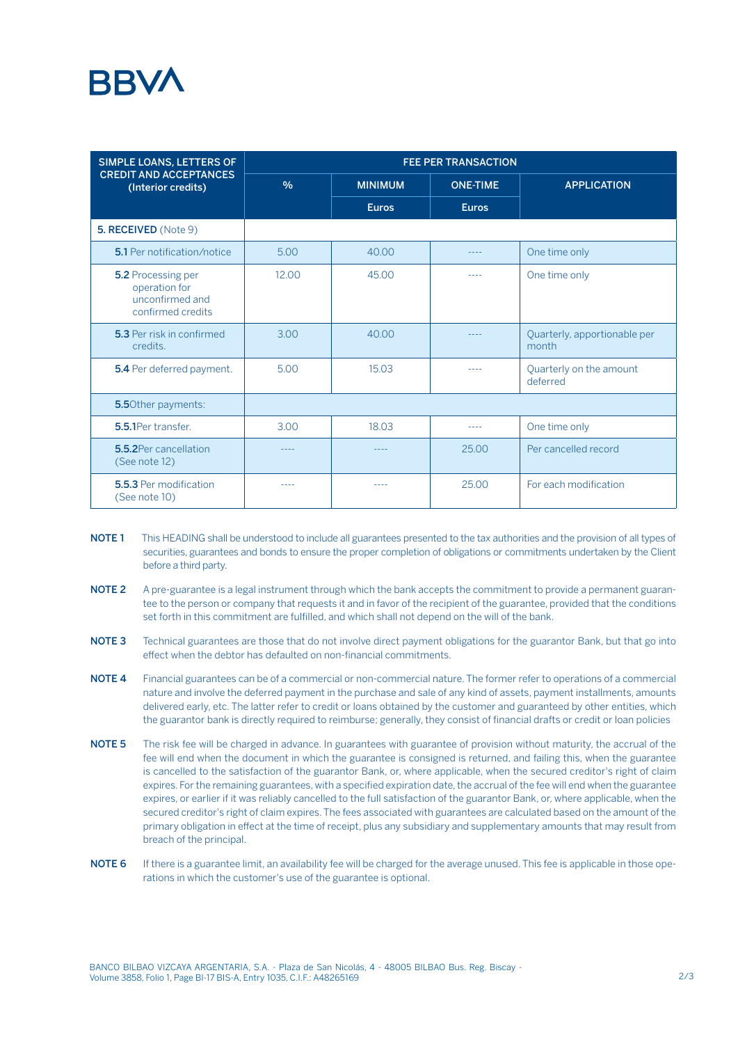### **RRV/**

| SIMPLE LOANS, LETTERS OF                                                           | <b>FEE PER TRANSACTION</b> |                |                 |                                       |  |  |  |
|------------------------------------------------------------------------------------|----------------------------|----------------|-----------------|---------------------------------------|--|--|--|
| <b>CREDIT AND ACCEPTANCES</b><br>(Interior credits)                                | $\frac{0}{0}$              | <b>MINIMUM</b> | <b>ONE-TIME</b> | <b>APPLICATION</b>                    |  |  |  |
|                                                                                    |                            | <b>Euros</b>   | <b>Euros</b>    |                                       |  |  |  |
| 5. RECEIVED (Note 9)                                                               |                            |                |                 |                                       |  |  |  |
| <b>5.1</b> Per notification/notice                                                 | 5.00                       | 40.00          | ----            | One time only                         |  |  |  |
| <b>5.2 Processing per</b><br>operation for<br>unconfirmed and<br>confirmed credits | 12.00                      | 45.00          |                 | One time only                         |  |  |  |
| 5.3 Per risk in confirmed<br>credits.                                              | 3.00                       | 40.00          |                 | Quarterly, apportionable per<br>month |  |  |  |
| 5.4 Per deferred payment.                                                          | 5.00                       | 15.03          |                 | Quarterly on the amount<br>deferred   |  |  |  |
| <b>5.5</b> Other payments:                                                         |                            |                |                 |                                       |  |  |  |
| 5.5.1Per transfer.                                                                 | 3.00                       | 18.03          | $\frac{1}{2}$   | One time only                         |  |  |  |
| 5.5.2 Per cancellation<br>(See note 12)                                            | ----                       | $\frac{1}{2}$  | 25.00           | Per cancelled record                  |  |  |  |
| 5.5.3 Per modification<br>(See note 10)                                            | ----                       |                | 25.00           | For each modification                 |  |  |  |

- NOTE 1 This HEADING shall be understood to include all guarantees presented to the tax authorities and the provision of all types of securities, guarantees and bonds to ensure the proper completion of obligations or commitments undertaken by the Client before a third party.
- NOTE 2 A pre-guarantee is a legal instrument through which the bank accepts the commitment to provide a permanent guarantee to the person or company that requests it and in favor of the recipient of the guarantee, provided that the conditions set forth in this commitment are fulfilled, and which shall not depend on the will of the bank.
- NOTE 3 Technical guarantees are those that do not involve direct payment obligations for the guarantor Bank, but that go into effect when the debtor has defaulted on non-financial commitments.
- NOTE 4 Financial guarantees can be of a commercial or non-commercial nature. The former refer to operations of a commercial nature and involve the deferred payment in the purchase and sale of any kind of assets, payment installments, amounts delivered early, etc. The latter refer to credit or loans obtained by the customer and guaranteed by other entities, which the guarantor bank is directly required to reimburse; generally, they consist of financial drafts or credit or loan policies
- NOTE 5 The risk fee will be charged in advance. In guarantees with guarantee of provision without maturity, the accrual of the fee will end when the document in which the guarantee is consigned is returned, and failing this, when the guarantee is cancelled to the satisfaction of the guarantor Bank, or, where applicable, when the secured creditor's right of claim expires. For the remaining guarantees, with a specified expiration date, the accrual of the fee will end when the guarantee expires, or earlier if it was reliably cancelled to the full satisfaction of the guarantor Bank, or, where applicable, when the secured creditor's right of claim expires. The fees associated with guarantees are calculated based on the amount of the primary obligation in effect at the time of receipt, plus any subsidiary and supplementary amounts that may result from breach of the principal.
- NOTE 6 If there is a guarantee limit, an availability fee will be charged for the average unused. This fee is applicable in those operations in which the customer's use of the guarantee is optional.